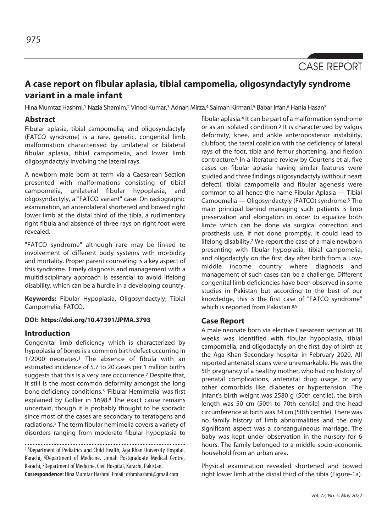CASE REPORT

# **A case report on fibular aplasia, tibial campomelia, oligosyndactyly syndrome variant in a male infant**

Hina Mumtaz Hashmi,<sup>1</sup> Nazia Shamim,<sup>2</sup> Vinod Kumar,<sup>3</sup> Adnan Mirza,<sup>4</sup> Salman Kirmani,<sup>5</sup> Babar Irfan,<sup>6</sup> Hania Hasan<sup>7</sup>

### **Abstract**

Fibular aplasia, tibial campomelia, and oligosyndactyly (FATCO syndrome) is a rare, genetic, congenital limb malformation characterised by unilateral or bilateral fibular aplasia, tibial campomelia, and lower limb oligosyndactyly involving the lateral rays.

A newborn male born at term via a Caesarean Section presented with malformations consisting of tibial campomelia, unilateral fibular hypoplasia, and oligosyndactyly, a "FATCO variant" case. On radiographic examination, an anterolateral shortened and bowed right lower limb at the distal third of the tibia, a rudimentary right fibula and absence of three rays on right foot were revealed.

"FATCO syndrome" although rare may be linked to involvement of different body systems with morbidity and mortality. Proper parent counseling is a key aspect of this syndrome. Timely diagnosis and management with a multidisciplinary approach is essential to avoid lifelong disability, which can be a hurdle in a developing country.

**Keywords:** Fibular Hypoplasia, Oligosyndactyly, Tibial Campomelia, FATCO.

## **DOI: https://doi.org/10.47391/JPMA.3793**

#### **Introduction**

Congenital limb deficiency which is characterized by hypoplasia of bones is a common birth defect occurring in 1/2000 neonates.1 The absence of fibula with an estimated incidence of 5.7 to 20 cases per 1 million births suggests that this is a very rare occurrence.2 Despite that, it still is the most common deformity amongst the long bone deficiency conditions.3 'Fibular Hemimelia' was first explained by Gollier in 1698.4 The exact cause remains uncertain, though it is probably thought to be sporadic since most of the cases are secondary to teratogens and radiations.5 The term fibular hemimelia covers a variety of disorders ranging from moderate fibular hypoplasia to

<sup>1-5</sup>Department of Pediatrics and Child Health, Aga Khan University Hospital, Karachi, 6Department of Medicine, Jinnah Postgraduate Medical Centre, Karachi, 7Department of Medicine, Civil Hospital, Karachi, Pakistan.

**Correspondence:** Hina Mumtaz Hashmi. Email: drhmhashmi@gmail.com

fibular aplasia.4 It can be part of a malformation syndrome or as an isolated condition.3 It is characterized by valgus deformity, knee, and ankle anteroposterior instability, clubfoot, the tarsal coalition with the deficiency of lateral rays of the foot, tibia and femur shortening, and flexion contracture.6 In a literature review by Courtens et al, five cases on fibular aplasia having similar features were studied and three findings oligosyndactyly (without heart defect), tibial campomelia and fibular agenesis were common to all hence the name Fibular Aplasia — Tibial Campomelia — Oligosyndactyly (FATCO) syndrome.5 The main principal behind managing such patients is limb preservation and elongation in order to equalize both limbs which can be done via surgical correction and prosthesis use. If not done promptly, it could lead to lifelong disability.<sup>7</sup> We report the case of a male newborn presenting with fibular hypoplasia, tibial campomelia, and oligodactyly on the first day after birth from a Lowmiddle income country where diagnosis and management of such cases can be a challenge. Different congenital limb deficiencies have been observed in some studies in Pakistan but according to the best of our knowledge, this is the first case of "FATCO syndrome" which is reported from Pakistan.<sup>8,9</sup>

### **Case Report**

A male neonate born via elective Caesarean section at 38 weeks was identified with fibular hypoplasia, tibial campomelia, and oligodactyly on the first day of birth at the Aga Khan Secondary hospital in February 2020. All reported antenatal scans were unremarkable. He was the 5th pregnancy of a healthy mother, who had no history of prenatal complications, antenatal drug usage, or any other comorbids like diabetes or hypertension. The infant's birth weight was 2580 g (50th centile), the birth length was 50 cm (50th to 70th centile) and the head circumference at birth was 34 cm (50th centile). There was no family history of limb abnormalities and the only significant aspect was a consanguineous marriage. The baby was kept under observation in the nursery for 6 hours. The family belonged to a middle socio-economic household from an urban area.

Physical examination revealed shortened and bowed right lower limb at the distal third of the tibia (Figure-1a).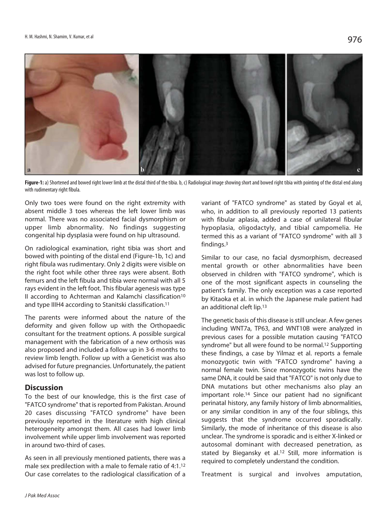

Figure-1: a) Shortened and bowed right lower limb at the distal third of the tibia. b, c) Radiological image showing short and bowed right tibia with pointing of the distal end along with rudimentary right fibula.

Only two toes were found on the right extremity with absent middle 3 toes whereas the left lower limb was normal. There was no associated facial dysmorphism or upper limb abnormality. No findings suggesting congenital hip dysplasia were found on hip ultrasound.

On radiological examination, right tibia was short and bowed with pointing of the distal end (Figure-1b, 1c) and right fibula was rudimentary. Only 2 digits were visible on the right foot while other three rays were absent. Both femurs and the left fibula and tibia were normal with all 5 rays evident in the left foot. This fibular agenesis was type II according to Achterman and Kalamchi classification<sup>10</sup> and type IIIH4 according to Stanitski classification.<sup>11</sup>

The parents were informed about the nature of the deformity and given follow up with the Orthopaedic consultant for the treatment options. A possible surgical management with the fabrication of a new orthosis was also proposed and included a follow up in 3-6 months to review limb length. Follow up with a Geneticist was also advised for future pregnancies. Unfortunately, the patient was lost to follow up.

#### **Discussion**

To the best of our knowledge, this is the first case of "FATCO syndrome" that is reported from Pakistan. Around 20 cases discussing "FATCO syndrome" have been previously reported in the literature with high clinical heterogeneity amongst them. All cases had lower limb involvement while upper limb involvement was reported in around two-third of cases.

As seen in all previously mentioned patients, there was a male sex predilection with a male to female ratio of 4:1.12 Our case correlates to the radiological classification of a

variant of "FATCO syndrome" as stated by Goyal et al, who, in addition to all previously reported 13 patients with fibular aplasia, added a case of unilateral fibular hypoplasia, oligodactyly, and tibial campomelia. He termed this as a variant of "FATCO syndrome" with all 3 findings.3

Similar to our case, no facial dysmorphism, decreased mental growth or other abnormalities have been observed in children with "FATCO syndrome", which is one of the most significant aspects in counseling the patient's family. The only exception was a case reported by Kitaoka et al. in which the Japanese male patient had an additional cleft lip.13

The genetic basis of this disease is still unclear. A few genes including WNT7a, TP63, and WNT10B were analyzed in previous cases for a possible mutation causing "FATCO syndrome" but all were found to be normal.<sup>12</sup> Supporting these findings, a case by Yilmaz et al. reports a female monozygotic twin with "FATCO syndrome" having a normal female twin. Since monozygotic twins have the same DNA, it could be said that "FATCO" is not only due to DNA mutations but other mechanisms also play an important role.14 Since our patient had no significant perinatal history, any family history of limb abnormalities, or any similar condition in any of the four siblings, this suggests that the syndrome occurred sporadically. Similarly, the mode of inheritance of this disease is also unclear. The syndrome is sporadic and is either X-linked or autosomal dominant with decreased penetration, as stated by Biegansky et al.<sup>12</sup> Still, more information is required to completely understand the condition.

Treatment is surgical and involves amputation,